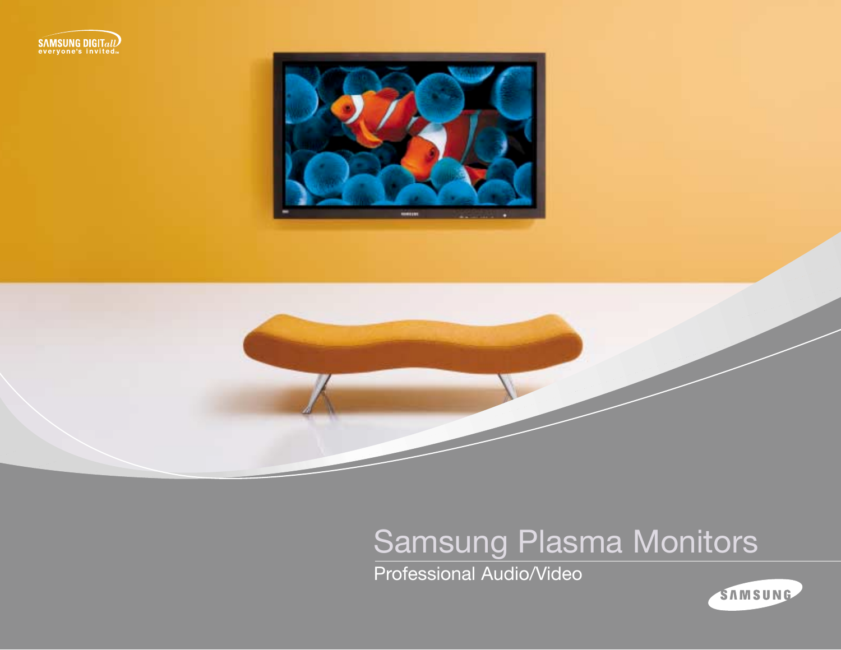





# Samsung Plasma Monitors

Professional Audio/Video

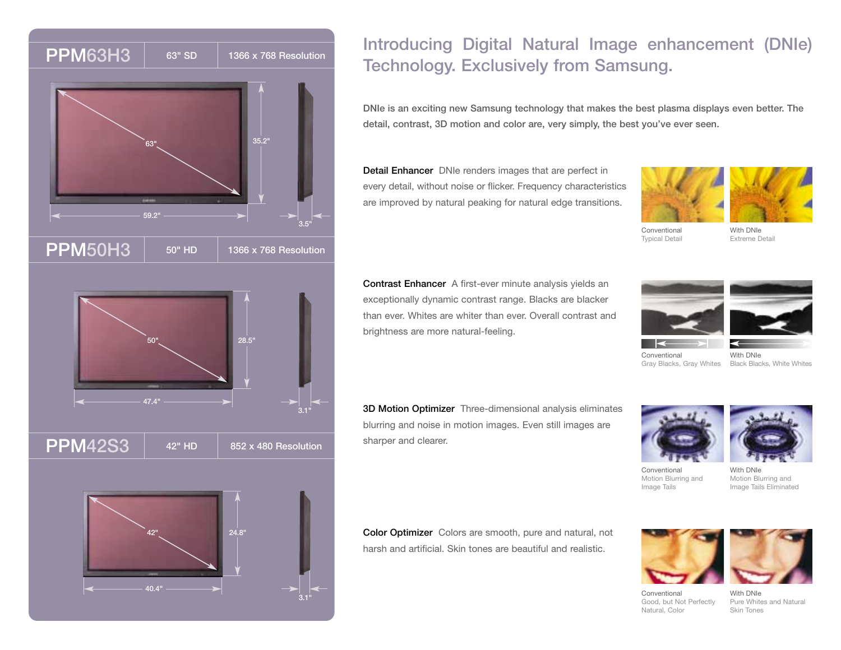**PPM63H3** 63" SD 1366 x 768 Resolution



### Introducing Digital Natural Image enhancement (DNIe) Technology. Exclusively from Samsung.

DNIe is an exciting new Samsung technology that makes the best plasma displays even better. The detail, contrast, 3D motion and color are, very simply, the best you've ever seen.

Detail Enhancer DNIe renders images that are perfect in every detail, without noise or flicker. Frequency characteristics are improved by natural peaking for natural edge transitions.





Conventional Typical Detail

With DNIe Extreme Detail





Contrast Enhancer A first-ever minute analysis yields an exceptionally dynamic contrast range. Blacks are blacker than ever. Whites are whiter than ever. Overall contrast and brightness are more natural-feeling.





**Conventional** Gray Blacks, Gray Whites

With DNIe Black Blacks, White Whites

3D Motion Optimizer Three-dimensional analysis eliminates blurring and noise in motion images. Even still images are sharper and clearer.





Conventional Motion Blurring and Image Tails

With DNIe Motion Blurring and Image Tails Eliminated

Color Optimizer Colors are smooth, pure and natural, not harsh and artificial. Skin tones are beautiful and realistic.





Conventional Good, but Not Perfectly Natural, Color

With DNIe Pure Whites and Natural Skin Tones



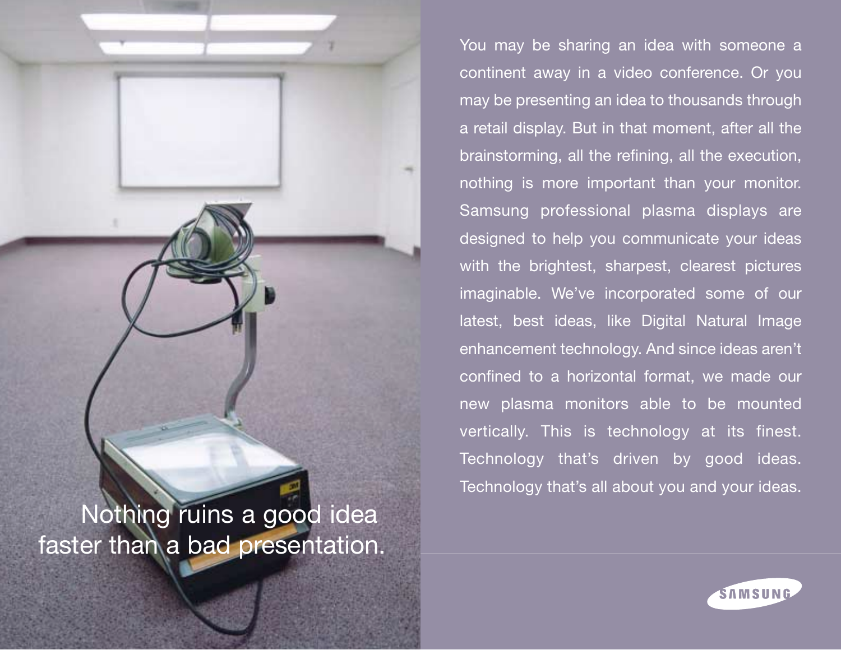Nothing ruins a good idea faster than a bad presentation.

You may be sharing an idea with someone a continent away in a video conference. Or you may be presenting an idea to thousands through a retail display. But in that moment, after all the brainstorming, all the refining, all the execution, nothing is more important than your monitor. Samsung professional plasma displays are designed to help you communicate your ideas with the brightest, sharpest, clearest pictures imaginable. We've incorporated some of our latest, best ideas, like Digital Natural Image enhancement technology. And since ideas aren't confined to a horizontal format, we made our new plasma monitors able to be mounted vertically. This is technology at its finest. Technology that's driven by good ideas. Technology that's all about you and your ideas.

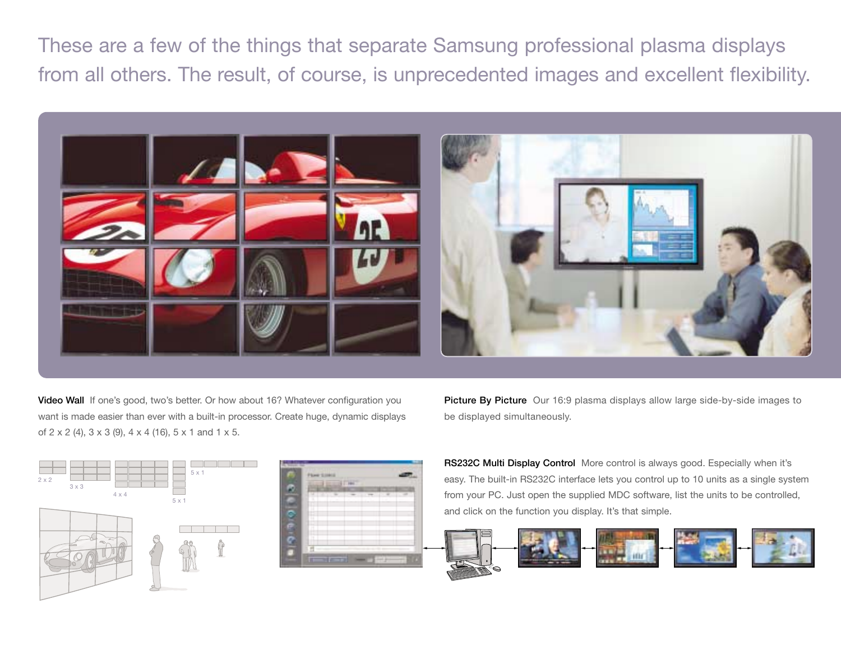These are a few of the things that separate Samsung professional plasma displays from all others. The result, of course, is unprecedented images and excellent flexibility.



Video Wall If one's good, two's better. Or how about 16? Whatever configuration you want is made easier than ever with a built-in processor. Create huge, dynamic displays of 2 x 2 (4), 3 x 3 (9), 4 x 4 (16), 5 x 1 and 1 x 5.

Picture By Picture Our 16:9 plasma displays allow large side-by-side images to be displayed simultaneously.





RS232C Multi Display Control More control is always good. Especially when it's easy. The built-in RS232C interface lets you control up to 10 units as a single system from your PC. Just open the supplied MDC software, list the units to be controlled, and click on the function you display. It's that simple.

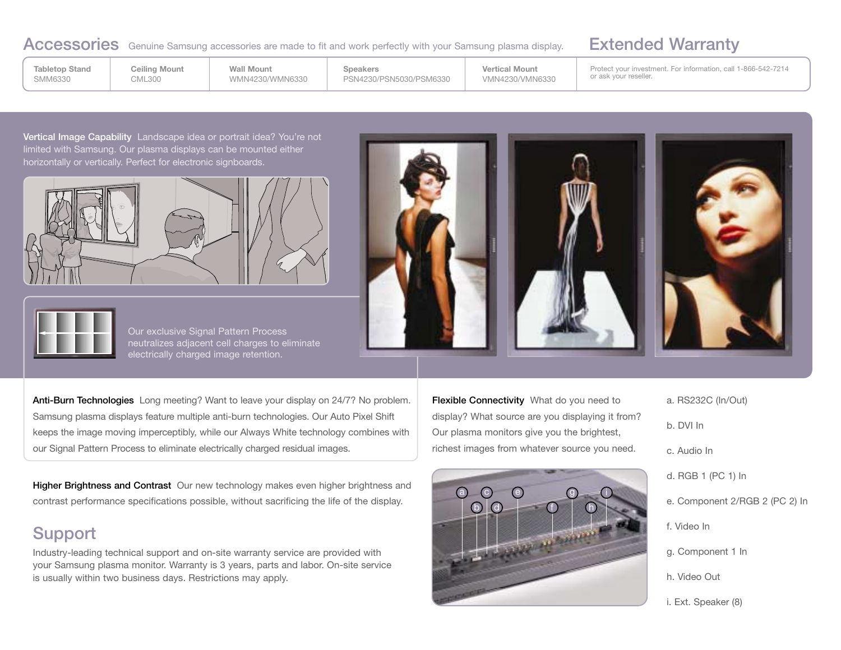### Accessories Genuine Samsung accessories are made to fit and work perfectly with your Samsung plasma display. Extended Warranty

**Tabletop Stand** SMM6330

**Ceiling Mount Wall Mount**  WMN4230/WMN6330

**Speakers** PSN4230/PSN5030/PSM6330 **Vertical Mount** VMN4230/VMN6330

Protect your investment. For information, call 1-866-542-7214 or ask your reseller.

Vertical Image Capability Landscape idea or portrait idea? You're not limited with Samsung. Our plasma displays can be mounted either horizontally or vertically. Perfect for electronic signboards.

CML300





Our exclusive Signal Pattern Process neutralizes adjacent cell charges to eliminate electrically charged image retention.

Anti-Burn Technologies Long meeting? Want to leave your display on 24/7? No problem. Samsung plasma displays feature multiple anti-burn technologies. Our Auto Pixel Shift keeps the image moving imperceptibly, while our Always White technology combines with our Signal Pattern Process to eliminate electrically charged residual images.

Higher Brightness and Contrast Our new technology makes even higher brightness and contrast performance specifications possible, without sacrificing the life of the display.

## Support

Industry-leading technical support and on-site warranty service are provided with your Samsung plasma monitor. Warranty is 3 years, parts and labor. On-site service is usually within two business days. Restrictions may apply.

Flexible Connectivity What do you need to display? What source are you displaying it from? Our plasma monitors give you the brightest, richest images from whatever source you need.



| ۱ | î |
|---|---|
|   |   |

a. RS232C (In/Out)